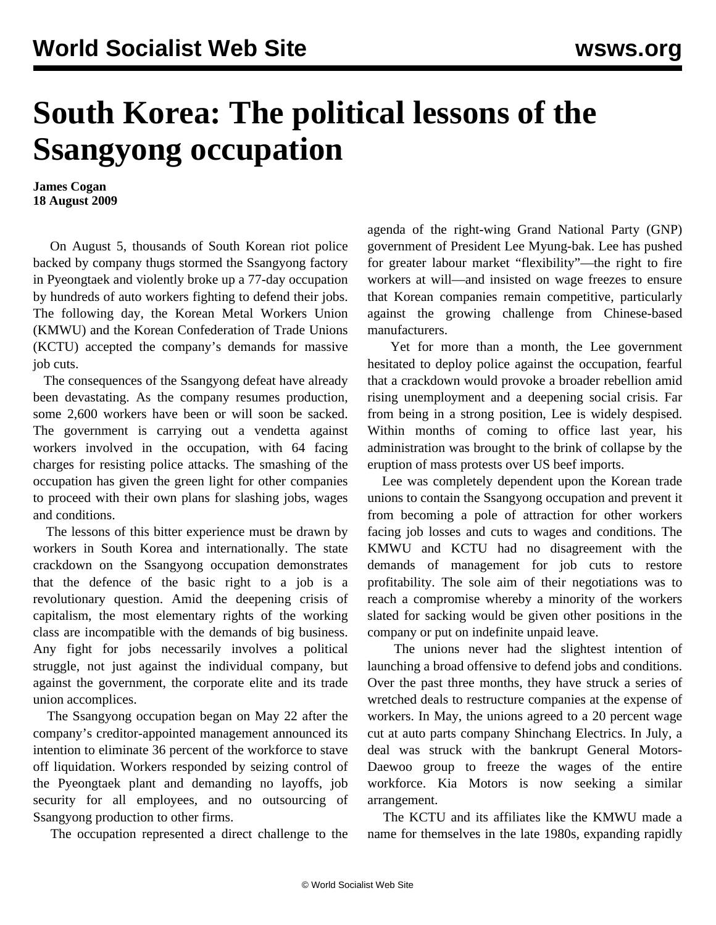## **South Korea: The political lessons of the Ssangyong occupation**

**James Cogan 18 August 2009**

 On August 5, thousands of South Korean riot police backed by company thugs stormed the Ssangyong factory in Pyeongtaek and violently broke up a 77-day occupation by hundreds of auto workers fighting to defend their jobs. The following day, the Korean Metal Workers Union (KMWU) and the Korean Confederation of Trade Unions (KCTU) accepted the company's demands for massive job cuts.

 The consequences of the Ssangyong defeat have already been devastating. As the company resumes production, some 2,600 workers have been or will soon be sacked. The government is carrying out a vendetta against workers involved in the occupation, with 64 facing charges for resisting police attacks. The smashing of the occupation has given the green light for other companies to proceed with their own plans for slashing jobs, wages and conditions.

 The lessons of this bitter experience must be drawn by workers in South Korea and internationally. The state crackdown on the Ssangyong occupation demonstrates that the defence of the basic right to a job is a revolutionary question. Amid the deepening crisis of capitalism, the most elementary rights of the working class are incompatible with the demands of big business. Any fight for jobs necessarily involves a political struggle, not just against the individual company, but against the government, the corporate elite and its trade union accomplices.

 The Ssangyong occupation began on May 22 after the company's creditor-appointed management announced its intention to eliminate 36 percent of the workforce to stave off liquidation. Workers responded by seizing control of the Pyeongtaek plant and demanding no layoffs, job security for all employees, and no outsourcing of Ssangyong production to other firms.

The occupation represented a direct challenge to the

agenda of the right-wing Grand National Party (GNP) government of President Lee Myung-bak. Lee has pushed for greater labour market "flexibility"—the right to fire workers at will—and insisted on wage freezes to ensure that Korean companies remain competitive, particularly against the growing challenge from Chinese-based manufacturers.

 Yet for more than a month, the Lee government hesitated to deploy police against the occupation, fearful that a crackdown would provoke a broader rebellion amid rising unemployment and a deepening social crisis. Far from being in a strong position, Lee is widely despised. Within months of coming to office last year, his administration was brought to the brink of collapse by the eruption of mass protests over US beef imports.

 Lee was completely dependent upon the Korean trade unions to contain the Ssangyong occupation and prevent it from becoming a pole of attraction for other workers facing job losses and cuts to wages and conditions. The KMWU and KCTU had no disagreement with the demands of management for job cuts to restore profitability. The sole aim of their negotiations was to reach a compromise whereby a minority of the workers slated for sacking would be given other positions in the company or put on indefinite unpaid leave.

 The unions never had the slightest intention of launching a broad offensive to defend jobs and conditions. Over the past three months, they have struck a series of wretched deals to restructure companies at the expense of workers. In May, the unions agreed to a 20 percent wage cut at auto parts company Shinchang Electrics. In July, a deal was struck with the bankrupt General Motors-Daewoo group to freeze the wages of the entire workforce. Kia Motors is now seeking a similar arrangement.

 The KCTU and its affiliates like the KMWU made a name for themselves in the late 1980s, expanding rapidly